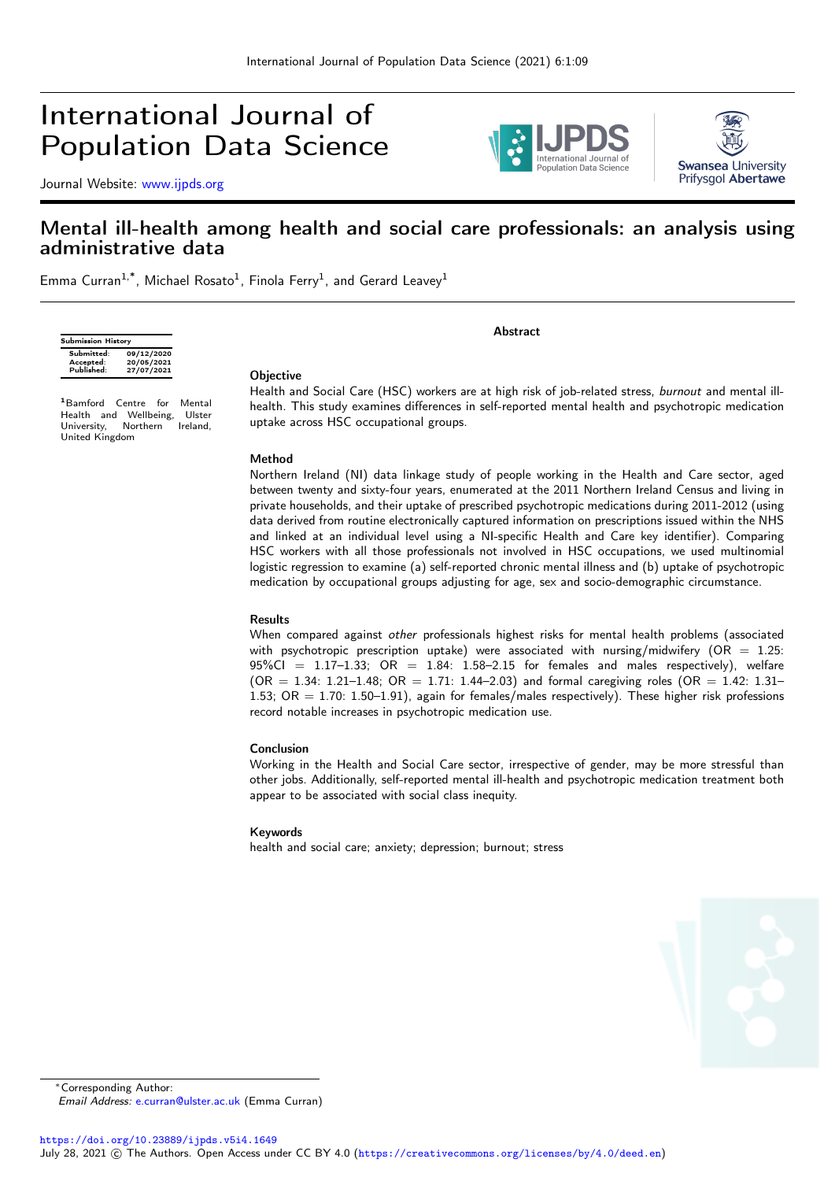# International Journal of Population Data Science

Journal Website: [www.ijpds.org](http://www.ijpds.org)





# Mental ill-health among health and social care professionals: an analysis using administrative data

Emma Curran<sup>1,\*</sup>, Michael Rosato<sup>1</sup>, Finola Ferry<sup>1</sup>, and Gerard Leavey<sup>1</sup>

| <b>Submission History</b> |            |  |  |  |  |
|---------------------------|------------|--|--|--|--|
| Submitted:                | 09/12/2020 |  |  |  |  |
| Accepted:                 | 20/05/2021 |  |  |  |  |
| Published:                | 27/07/2021 |  |  |  |  |

<sup>1</sup>Bamford Centre for Mental Health and Wellbeing, Ulster University, Northern Ireland, United Kingdom

# **Abstract**

#### **Objective**

Health and Social Care (HSC) workers are at high risk of job-related stress, burnout and mental illhealth. This study examines differences in self-reported mental health and psychotropic medication uptake across HSC occupational groups.

#### Method

Northern Ireland (NI) data linkage study of people working in the Health and Care sector, aged between twenty and sixty-four years, enumerated at the 2011 Northern Ireland Census and living in private households, and their uptake of prescribed psychotropic medications during 2011-2012 (using data derived from routine electronically captured information on prescriptions issued within the NHS and linked at an individual level using a NI-specific Health and Care key identifier). Comparing HSC workers with all those professionals not involved in HSC occupations, we used multinomial logistic regression to examine (a) self-reported chronic mental illness and (b) uptake of psychotropic medication by occupational groups adjusting for age, sex and socio-demographic circumstance.

#### Results

When compared against other professionals highest risks for mental health problems (associated with psychotropic prescription uptake) were associated with nursing/midwifery (OR =  $1.25$ :  $95\%$ CI = 1.17-1.33; OR = 1.84: 1.58-2.15 for females and males respectively), welfare  $(OR = 1.34: 1.21 - 1.48; OR = 1.71: 1.44 - 2.03)$  and formal caregiving roles  $(OR = 1.42: 1.31 - 1.44)$ 1.53; OR = 1.70: 1.50–1.91), again for females/males respectively). These higher risk professions record notable increases in psychotropic medication use.

#### Conclusion

Working in the Health and Social Care sector, irrespective of gender, may be more stressful than other jobs. Additionally, self-reported mental ill-health and psychotropic medication treatment both appear to be associated with social class inequity.

#### Keywords

health and social care; anxiety; depression; burnout; stress



<sup>∗</sup>Corresponding Author:

Email Address: [e.curran@ulster.ac.uk](mailto:e.curran@ulster.ac.uk) (Emma Curran)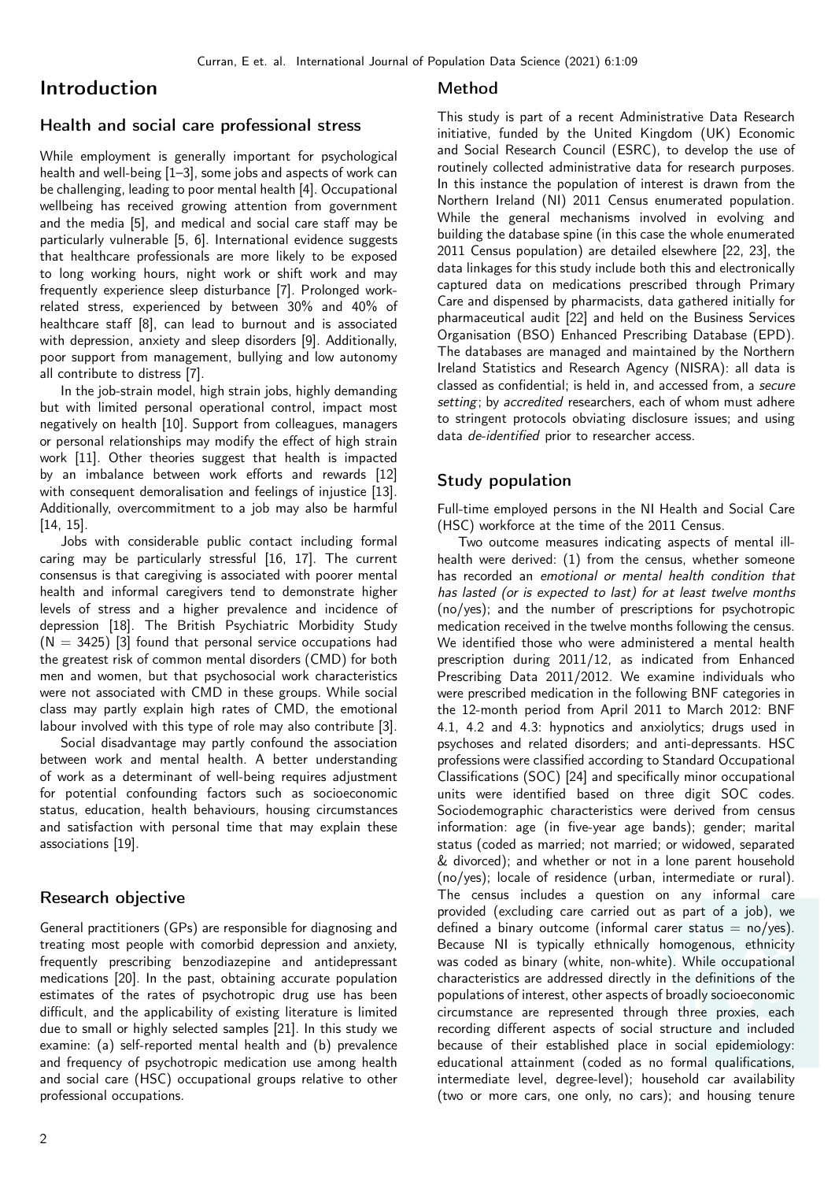# Introduction

# Health and social care professional stress

While employment is generally important for psychological health and well-being [\[1–](#page-6-0)[3\]](#page-6-1), some jobs and aspects of work can be challenging, leading to poor mental health [\[4\]](#page-6-2). Occupational wellbeing has received growing attention from government and the media [\[5\]](#page-6-3), and medical and social care staff may be particularly vulnerable [\[5,](#page-6-3) [6\]](#page-6-4). International evidence suggests that healthcare professionals are more likely to be exposed to long working hours, night work or shift work and may frequently experience sleep disturbance [\[7\]](#page-6-5). Prolonged workrelated stress, experienced by between 30% and 40% of healthcare staff [\[8\]](#page-6-6), can lead to burnout and is associated with depression, anxiety and sleep disorders [\[9\]](#page-6-7). Additionally, poor support from management, bullying and low autonomy all contribute to distress [\[7\]](#page-6-5).

In the job-strain model, high strain jobs, highly demanding but with limited personal operational control, impact most negatively on health [\[10\]](#page-6-8). Support from colleagues, managers or personal relationships may modify the effect of high strain work [\[11\]](#page-6-9). Other theories suggest that health is impacted by an imbalance between work efforts and rewards [\[12\]](#page-6-10) with consequent demoralisation and feelings of injustice [\[13\]](#page-6-11). Additionally, overcommitment to a job may also be harmful [\[14,](#page-6-12) [15\]](#page-7-0).

Jobs with considerable public contact including formal caring may be particularly stressful [\[16,](#page-7-1) [17\]](#page-7-2). The current consensus is that caregiving is associated with poorer mental health and informal caregivers tend to demonstrate higher levels of stress and a higher prevalence and incidence of depression [\[18\]](#page-7-3). The British Psychiatric Morbidity Study  $(N = 3425)$  [\[3\]](#page-6-1) found that personal service occupations had the greatest risk of common mental disorders (CMD) for both men and women, but that psychosocial work characteristics were not associated with CMD in these groups. While social class may partly explain high rates of CMD, the emotional labour involved with this type of role may also contribute [\[3\]](#page-6-1).

Social disadvantage may partly confound the association between work and mental health. A better understanding of work as a determinant of well-being requires adjustment for potential confounding factors such as socioeconomic status, education, health behaviours, housing circumstances and satisfaction with personal time that may explain these associations [\[19\]](#page-7-4).

# Research objective

General practitioners (GPs) are responsible for diagnosing and treating most people with comorbid depression and anxiety, frequently prescribing benzodiazepine and antidepressant medications [\[20\]](#page-7-5). In the past, obtaining accurate population estimates of the rates of psychotropic drug use has been difficult, and the applicability of existing literature is limited due to small or highly selected samples [\[21\]](#page-7-6). In this study we examine: (a) self-reported mental health and (b) prevalence and frequency of psychotropic medication use among health and social care (HSC) occupational groups relative to other professional occupations.

#### Method

This study is part of a recent Administrative Data Research initiative, funded by the United Kingdom (UK) Economic and Social Research Council (ESRC), to develop the use of routinely collected administrative data for research purposes. In this instance the population of interest is drawn from the Northern Ireland (NI) 2011 Census enumerated population. While the general mechanisms involved in evolving and building the database spine (in this case the whole enumerated 2011 Census population) are detailed elsewhere [\[22,](#page-7-7) [23\]](#page-7-8), the data linkages for this study include both this and electronically captured data on medications prescribed through Primary Care and dispensed by pharmacists, data gathered initially for pharmaceutical audit [\[22\]](#page-7-7) and held on the Business Services Organisation (BSO) Enhanced Prescribing Database (EPD). The databases are managed and maintained by the Northern Ireland Statistics and Research Agency (NISRA): all data is classed as confidential; is held in, and accessed from, a secure setting; by accredited researchers, each of whom must adhere to stringent protocols obviating disclosure issues; and using data de-identified prior to researcher access.

#### Study population

Full-time employed persons in the NI Health and Social Care (HSC) workforce at the time of the 2011 Census.

Two outcome measures indicating aspects of mental illhealth were derived: (1) from the census, whether someone has recorded an emotional or mental health condition that has lasted (or is expected to last) for at least twelve months (no/yes); and the number of prescriptions for psychotropic medication received in the twelve months following the census. We identified those who were administered a mental health prescription during 2011/12, as indicated from Enhanced Prescribing Data 2011/2012. We examine individuals who were prescribed medication in the following BNF categories in the 12-month period from April 2011 to March 2012: BNF 4.1, 4.2 and 4.3: hypnotics and anxiolytics; drugs used in psychoses and related disorders; and anti-depressants. HSC professions were classified according to Standard Occupational Classifications (SOC) [\[24\]](#page-7-9) and specifically minor occupational units were identified based on three digit SOC codes. Sociodemographic characteristics were derived from census information: age (in five-year age bands); gender; marital status (coded as married; not married; or widowed, separated & divorced); and whether or not in a lone parent household (no/yes); locale of residence (urban, intermediate or rural). The census includes a question on any informal care provided (excluding care carried out as part of a job), we defined a binary outcome (informal carer status  $=$  no/yes). Because NI is typically ethnically homogenous, ethnicity was coded as binary (white, non-white). While occupational characteristics are addressed directly in the definitions of the populations of interest, other aspects of broadly socioeconomic circumstance are represented through three proxies, each recording different aspects of social structure and included because of their established place in social epidemiology: educational attainment (coded as no formal qualifications, intermediate level, degree-level); household car availability (two or more cars, one only, no cars); and housing tenure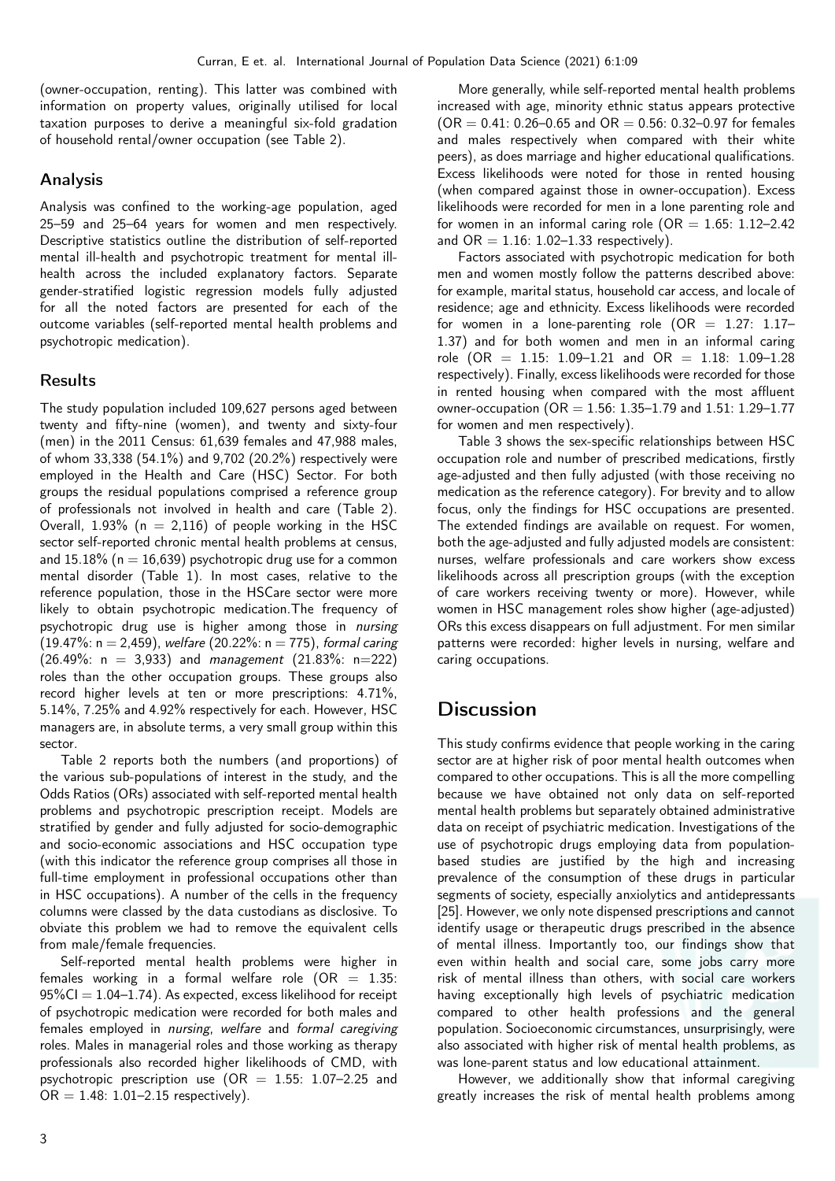(owner-occupation, renting). This latter was combined with information on property values, originally utilised for local taxation purposes to derive a meaningful six-fold gradation of household rental/owner occupation (see Table [2\)](#page-4-0).

#### Analysis

Analysis was confined to the working-age population, aged 25–59 and 25–64 years for women and men respectively. Descriptive statistics outline the distribution of self-reported mental ill-health and psychotropic treatment for mental illhealth across the included explanatory factors. Separate gender-stratified logistic regression models fully adjusted for all the noted factors are presented for each of the outcome variables (self-reported mental health problems and psychotropic medication).

#### Results

The study population included 109,627 persons aged between twenty and fifty-nine (women), and twenty and sixty-four (men) in the 2011 Census: 61,639 females and 47,988 males, of whom 33,338 (54.1%) and 9,702 (20.2%) respectively were employed in the Health and Care (HSC) Sector. For both groups the residual populations comprised a reference group of professionals not involved in health and care (Table [2\)](#page-4-0). Overall,  $1.93\%$  (n = 2,116) of people working in the HSC sector self-reported chronic mental health problems at census, and  $15.18\%$  (n = 16,639) psychotropic drug use for a common mental disorder (Table [1\)](#page-3-0). In most cases, relative to the reference population, those in the HSCare sector were more likely to obtain psychotropic medication.The frequency of psychotropic drug use is higher among those in nursing (19.47%:  $n = 2,459$ ), welfare (20.22%:  $n = 775$ ), formal caring  $(26.49\%: n = 3,933)$  and management  $(21.83\%: n=222)$ roles than the other occupation groups. These groups also record higher levels at ten or more prescriptions: 4.71%, 5.14%, 7.25% and 4.92% respectively for each. However, HSC managers are, in absolute terms, a very small group within this sector.

Table [2](#page-4-0) reports both the numbers (and proportions) of the various sub-populations of interest in the study, and the Odds Ratios (ORs) associated with self-reported mental health problems and psychotropic prescription receipt. Models are stratified by gender and fully adjusted for socio-demographic and socio-economic associations and HSC occupation type (with this indicator the reference group comprises all those in full-time employment in professional occupations other than in HSC occupations). A number of the cells in the frequency columns were classed by the data custodians as disclosive. To obviate this problem we had to remove the equivalent cells from male/female frequencies.

Self-reported mental health problems were higher in females working in a formal welfare role  $(OR = 1.35)$ :  $95\%$ CI = 1.04–1.74). As expected, excess likelihood for receipt of psychotropic medication were recorded for both males and females employed in nursing, welfare and formal caregiving roles. Males in managerial roles and those working as therapy professionals also recorded higher likelihoods of CMD, with psychotropic prescription use  $(OR = 1.55: 1.07-2.25)$  and  $OR = 1.48: 1.01 - 2.15$  respectively).

More generally, while self-reported mental health problems increased with age, minority ethnic status appears protective  $(OR = 0.41: 0.26 - 0.65$  and  $OR = 0.56: 0.32 - 0.97$  for females and males respectively when compared with their white peers), as does marriage and higher educational qualifications. Excess likelihoods were noted for those in rented housing (when compared against those in owner-occupation). Excess likelihoods were recorded for men in a lone parenting role and for women in an informal caring role ( $OR = 1.65: 1.12-2.42$ ) and  $OR = 1.16$ : 1.02-1.33 respectively).

Factors associated with psychotropic medication for both men and women mostly follow the patterns described above: for example, marital status, household car access, and locale of residence; age and ethnicity. Excess likelihoods were recorded for women in a lone-parenting role  $(OR = 1.27: 1.17-$ 1.37) and for both women and men in an informal caring role (OR =  $1.15: 1.09-1.21$  and OR =  $1.18: 1.09-1.28$ respectively). Finally, excess likelihoods were recorded for those in rented housing when compared with the most affluent owner-occupation ( $OR = 1.56: 1.35 - 1.79$  and  $1.51: 1.29 - 1.77$ for women and men respectively).

Table [3](#page-5-0) shows the sex-specific relationships between HSC occupation role and number of prescribed medications, firstly age-adjusted and then fully adjusted (with those receiving no medication as the reference category). For brevity and to allow focus, only the findings for HSC occupations are presented. The extended findings are available on request. For women, both the age-adjusted and fully adjusted models are consistent: nurses, welfare professionals and care workers show excess likelihoods across all prescription groups (with the exception of care workers receiving twenty or more). However, while women in HSC management roles show higher (age-adjusted) ORs this excess disappears on full adjustment. For men similar patterns were recorded: higher levels in nursing, welfare and caring occupations.

# **Discussion**

This study confirms evidence that people working in the caring sector are at higher risk of poor mental health outcomes when compared to other occupations. This is all the more compelling because we have obtained not only data on self-reported mental health problems but separately obtained administrative data on receipt of psychiatric medication. Investigations of the use of psychotropic drugs employing data from populationbased studies are justified by the high and increasing prevalence of the consumption of these drugs in particular segments of society, especially anxiolytics and antidepressants [\[25\]](#page-7-10). However, we only note dispensed prescriptions and cannot identify usage or therapeutic drugs prescribed in the absence of mental illness. Importantly too, our findings show that even within health and social care, some jobs carry more risk of mental illness than others, with social care workers having exceptionally high levels of psychiatric medication compared to other health professions and the general population. Socioeconomic circumstances, unsurprisingly, were also associated with higher risk of mental health problems, as was lone-parent status and low educational attainment.

However, we additionally show that informal caregiving greatly increases the risk of mental health problems among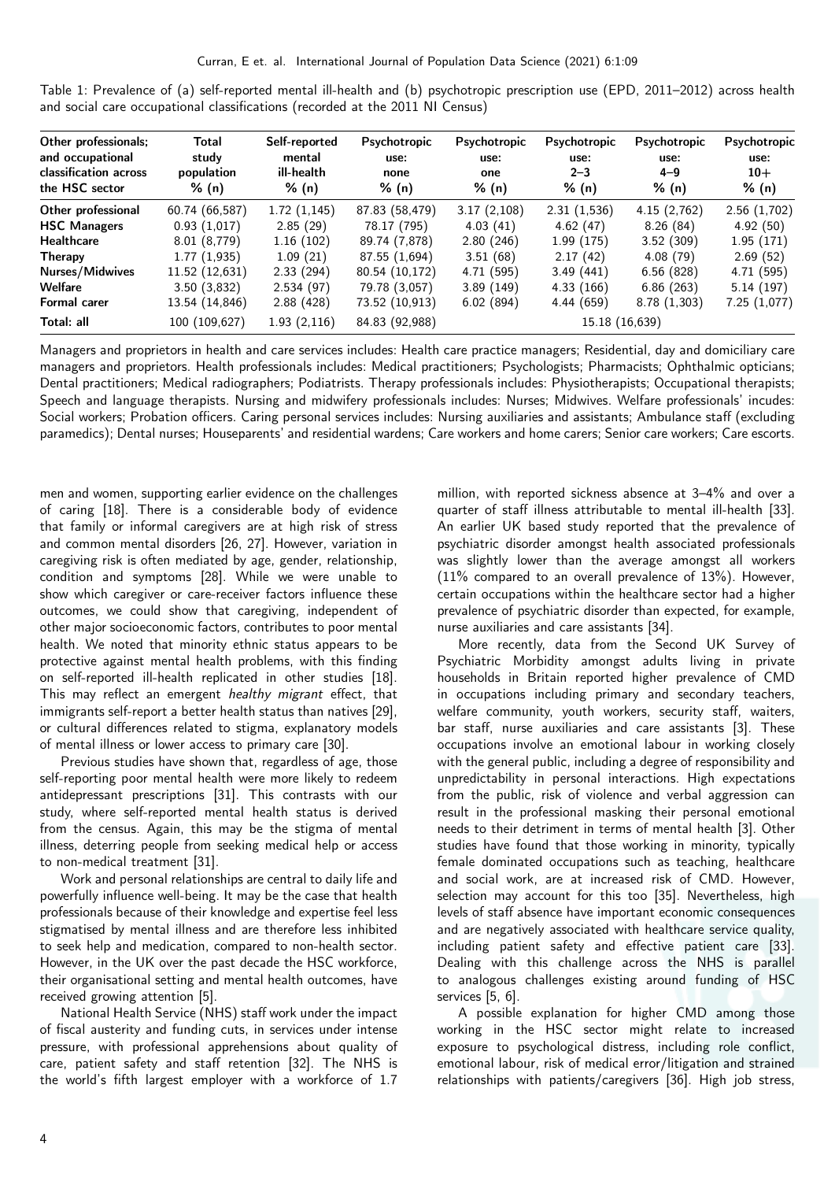<span id="page-3-0"></span>Table 1: Prevalence of (a) self-reported mental ill-health and (b) psychotropic prescription use (EPD, 2011–2012) across health and social care occupational classifications (recorded at the 2011 NI Census)

| Other professionals;<br>and occupational<br>classification across<br>the HSC sector | Total<br>study<br>population<br>% (n) | Self-reported<br>mental<br>ill-health<br>% (n) | Psychotropic<br>use:<br>none<br>% (n) | Psychotropic<br>use:<br>one<br>% (n) | Psychotropic<br>use:<br>$2 - 3$<br>% (n) | Psychotropic<br>use:<br>$4 - 9$<br>% (n) | Psychotropic<br>use:<br>$10+$<br>% (n) |
|-------------------------------------------------------------------------------------|---------------------------------------|------------------------------------------------|---------------------------------------|--------------------------------------|------------------------------------------|------------------------------------------|----------------------------------------|
| Other professional                                                                  | 60.74 (66,587)                        | 1.72(1,145)                                    | 87.83 (58,479)                        | 3.17(2,108)                          | 2.31(1,536)                              | 4.15(2,762)                              | 2.56(1,702)                            |
| <b>HSC Managers</b>                                                                 | 0.93(1,017)                           | 2.85(29)                                       | 78.17 (795)                           | 4.03(41)                             | 4.62(47)                                 | 8.26(84)                                 | 4.92(50)                               |
| <b>Healthcare</b>                                                                   | 8.01 (8,779)                          | 1.16(102)                                      | 89.74 (7,878)                         | 2.80(246)                            | 1.99(175)                                | 3.52(309)                                | 1.95(171)                              |
| Therapy                                                                             | 1.77(1,935)                           | 1.09(21)                                       | 87.55 (1,694)                         | 3.51(68)                             | 2.17(42)                                 | 4.08(79)                                 | 2.69(52)                               |
| Nurses/Midwives                                                                     | 11.52(12,631)                         | 2.33(294)                                      | 80.54 (10,172)                        | 4.71(595)                            | 3.49(441)                                | 6.56(828)                                | 4.71 (595)                             |
| Welfare                                                                             | 3.50(3,832)                           | 2.534(97)                                      | 79.78 (3,057)                         | 3.89(149)                            | 4.33(166)                                | 6.86(263)                                | 5.14(197)                              |
| Formal carer                                                                        | 13.54 (14,846)                        | 2.88(428)                                      | 73.52 (10,913)                        | 6.02(894)                            | 4.44(659)                                | 8.78(1,303)                              | 7.25(1,077)                            |
| Total: all                                                                          | 100 (109,627)                         | 1.93(2,116)                                    | 84.83 (92,988)                        |                                      | 15.18 (16,639)                           |                                          |                                        |

Managers and proprietors in health and care services includes: Health care practice managers; Residential, day and domiciliary care managers and proprietors. Health professionals includes: Medical practitioners; Psychologists; Pharmacists; Ophthalmic opticians; Dental practitioners; Medical radiographers; Podiatrists. Therapy professionals includes: Physiotherapists; Occupational therapists; Speech and language therapists. Nursing and midwifery professionals includes: Nurses; Midwives. Welfare professionals' incudes: Social workers; Probation officers. Caring personal services includes: Nursing auxiliaries and assistants; Ambulance staff (excluding paramedics); Dental nurses; Houseparents' and residential wardens; Care workers and home carers; Senior care workers; Care escorts.

men and women, supporting earlier evidence on the challenges of caring [\[18\]](#page-7-3). There is a considerable body of evidence that family or informal caregivers are at high risk of stress and common mental disorders [\[26,](#page-7-11) [27\]](#page-7-12). However, variation in caregiving risk is often mediated by age, gender, relationship, condition and symptoms [\[28\]](#page-7-13). While we were unable to show which caregiver or care-receiver factors influence these outcomes, we could show that caregiving, independent of other major socioeconomic factors, contributes to poor mental health. We noted that minority ethnic status appears to be protective against mental health problems, with this finding on self-reported ill-health replicated in other studies [\[18\]](#page-7-3). This may reflect an emergent healthy migrant effect, that immigrants self-report a better health status than natives [\[29\]](#page-7-14), or cultural differences related to stigma, explanatory models of mental illness or lower access to primary care [\[30\]](#page-7-15).

Previous studies have shown that, regardless of age, those self-reporting poor mental health were more likely to redeem antidepressant prescriptions [\[31\]](#page-7-16). This contrasts with our study, where self-reported mental health status is derived from the census. Again, this may be the stigma of mental illness, deterring people from seeking medical help or access to non-medical treatment [\[31\]](#page-7-16).

Work and personal relationships are central to daily life and powerfully influence well-being. It may be the case that health professionals because of their knowledge and expertise feel less stigmatised by mental illness and are therefore less inhibited to seek help and medication, compared to non-health sector. However, in the UK over the past decade the HSC workforce, their organisational setting and mental health outcomes, have received growing attention [\[5\]](#page-6-3).

National Health Service (NHS) staff work under the impact of fiscal austerity and funding cuts, in services under intense pressure, with professional apprehensions about quality of care, patient safety and staff retention [\[32\]](#page-7-17). The NHS is the world's fifth largest employer with a workforce of 1.7 million, with reported sickness absence at 3–4% and over a quarter of staff illness attributable to mental ill-health [\[33\]](#page-7-18). An earlier UK based study reported that the prevalence of psychiatric disorder amongst health associated professionals was slightly lower than the average amongst all workers (11% compared to an overall prevalence of 13%). However, certain occupations within the healthcare sector had a higher prevalence of psychiatric disorder than expected, for example, nurse auxiliaries and care assistants [\[34\]](#page-7-19).

More recently, data from the Second UK Survey of Psychiatric Morbidity amongst adults living in private households in Britain reported higher prevalence of CMD in occupations including primary and secondary teachers, welfare community, youth workers, security staff, waiters, bar staff, nurse auxiliaries and care assistants [\[3\]](#page-6-1). These occupations involve an emotional labour in working closely with the general public, including a degree of responsibility and unpredictability in personal interactions. High expectations from the public, risk of violence and verbal aggression can result in the professional masking their personal emotional needs to their detriment in terms of mental health [\[3\]](#page-6-1). Other studies have found that those working in minority, typically female dominated occupations such as teaching, healthcare and social work, are at increased risk of CMD. However, selection may account for this too [\[35\]](#page-7-20). Nevertheless, high levels of staff absence have important economic consequences and are negatively associated with healthcare service quality, including patient safety and effective patient care [\[33\]](#page-7-18). Dealing with this challenge across the NHS is parallel to analogous challenges existing around funding of HSC services [\[5,](#page-6-3) [6\]](#page-6-4).

A possible explanation for higher CMD among those working in the HSC sector might relate to increased exposure to psychological distress, including role conflict, emotional labour, risk of medical error/litigation and strained relationships with patients/caregivers [\[36\]](#page-7-21). High job stress,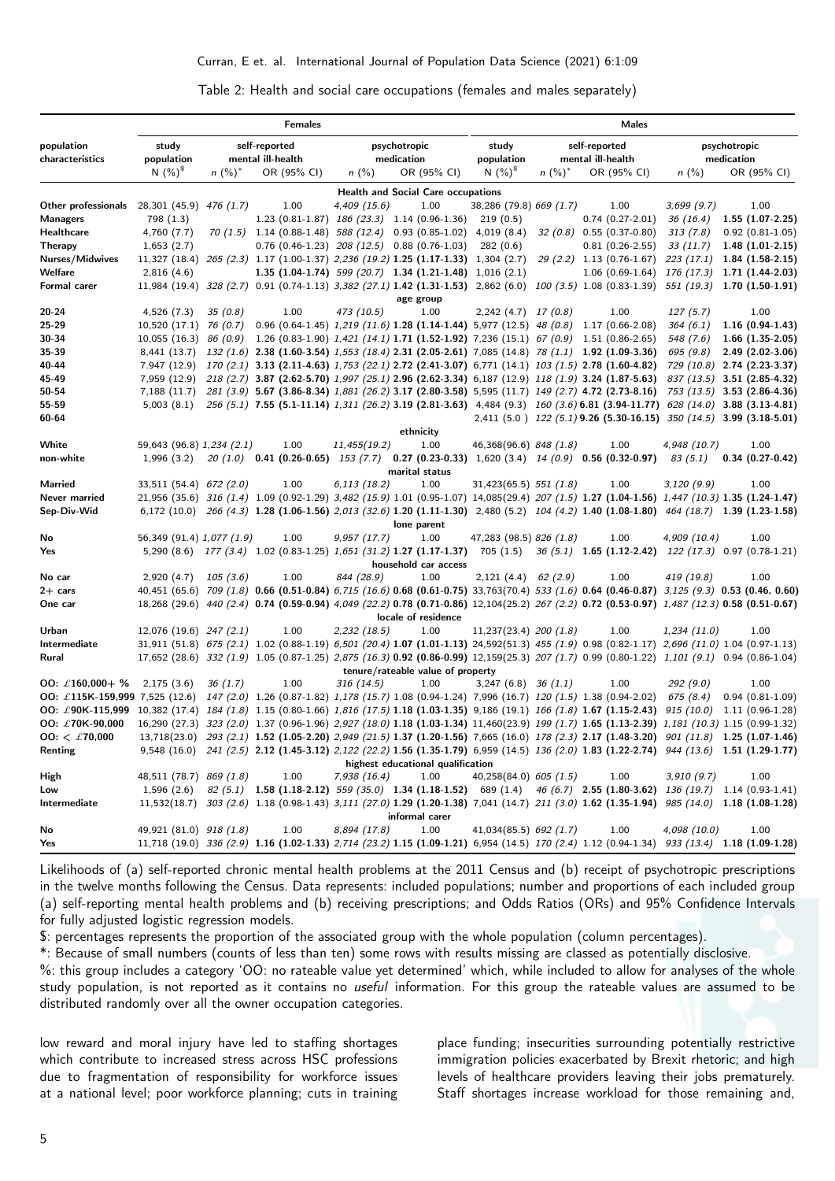<span id="page-4-0"></span>Table 2: Health and social care occupations (females and males separately)

|                                                                                                                                                             | <b>Females</b>            |           |                                                                                                                                               | Males        |                                                           |                          |                      |                                                                                                   |                         |                              |
|-------------------------------------------------------------------------------------------------------------------------------------------------------------|---------------------------|-----------|-----------------------------------------------------------------------------------------------------------------------------------------------|--------------|-----------------------------------------------------------|--------------------------|----------------------|---------------------------------------------------------------------------------------------------|-------------------------|------------------------------|
| study<br>self-reported<br>population<br>characteristics<br>population<br>mental ill-health                                                                  |                           |           | psychotropic<br>medication                                                                                                                    |              | self-reported<br>study<br>population<br>mental ill-health |                          |                      | psychotropic<br>medication                                                                        |                         |                              |
|                                                                                                                                                             | $N(%)^8$                  | $n (%)^*$ | OR (95% CI)                                                                                                                                   | $n$ (%)      | OR (95% CI)                                               | N $(%)^{\$}$             | $n$ (%) <sup>*</sup> | OR (95% CI)                                                                                       | $n$ (%)                 | OR (95% CI)                  |
|                                                                                                                                                             |                           |           |                                                                                                                                               |              | <b>Health and Social Care occupations</b>                 |                          |                      |                                                                                                   |                         |                              |
| Other professionals                                                                                                                                         | 28,301 (45.9) 476 (1.7)   |           | 1.00                                                                                                                                          | 4,409 (15.6) | 1.00                                                      | 38,286 (79.8) 669 (1.7)  |                      | 1.00                                                                                              | 3,699(9.7)              | 1.00                         |
| <b>Managers</b>                                                                                                                                             | 798 (1.3)                 |           | 1.23 (0.81-1.87) $186(23.3)$ 1.14 (0.96-1.36)                                                                                                 |              |                                                           | 219(0.5)                 |                      | $0.74(0.27-2.01)$                                                                                 | 36 (16.4)               | $1.55(1.07-2.25)$            |
| Healthcare                                                                                                                                                  | 4,760 (7.7)               |           | $70(1.5)$ 1.14 $(0.88-1.48)$ 588 $(12.4)$ 0.93 $(0.85-1.02)$ 4,019 $(8.4)$                                                                    |              |                                                           |                          |                      | $32(0.8)$ 0.55 $(0.37-0.80)$                                                                      | 313(7.8)                | $0.92(0.81-1.05)$            |
| Therapy                                                                                                                                                     | 1,653(2.7)                |           | $0.76$ (0.46-1.23) $208$ (12.5) 0.88 (0.76-1.03)                                                                                              |              |                                                           | 282(0.6)                 |                      | $0.81(0.26-2.55)$                                                                                 | 33 (11.7)               | $1.48(1.01-2.15)$            |
| Nurses/Midwives                                                                                                                                             |                           |           | 11,327 (18.4) $265$ (2.3) 1.17 (1.00-1.37) 2,236 (19.2) 1.25 (1.17-1.33) 1,304 (2.7)                                                          |              |                                                           |                          |                      | $29(2.2)$ 1.13 (0.76-1.67)                                                                        |                         | 223 (17.1) 1.84 (1.58-2.15)  |
| Welfare                                                                                                                                                     | 2,816(4.6)                |           | 1.35 $(1.04-1.74)$ 599 $(20.7)$ 1.34 $(1.21-1.48)$ 1,016 $(2.1)$                                                                              |              |                                                           |                          |                      | $1.06(0.69-1.64)$                                                                                 |                         | 176 (17.3) 1.71 (1.44-2.03)  |
| Formal carer                                                                                                                                                |                           |           | 11,984 (19.4) 328 (2.7) 0.91 (0.74-1.13) 3,382 (27.1) 1.42 (1.31-1.53) 2,862 (6.0) 100 (3.5) 1.08 (0.83-1.39) 551 (19.3) 1.70 (1.50-1.91)     |              |                                                           |                          |                      |                                                                                                   |                         |                              |
|                                                                                                                                                             |                           |           |                                                                                                                                               |              | age group                                                 |                          |                      |                                                                                                   |                         |                              |
| $20 - 24$                                                                                                                                                   | 4,526 (7.3)               | 35(0.8)   | 1.00                                                                                                                                          | 473 (10.5)   | 1.00                                                      | $2,242(4.7)$ 17 (0.8)    |                      | 1.00                                                                                              | 127(5.7)                | 1.00                         |
| 25-29                                                                                                                                                       | $10,520(17.1)$ 76 (0.7)   |           |                                                                                                                                               |              |                                                           |                          |                      | 0.96 $(0.64-1.45)$ 1,219 $(11.6)$ 1.28 $(1.14-1.44)$ 5,977 $(12.5)$ 48 $(0.8)$ 1.17 $(0.66-2.08)$ | 364(6.1)                | $1.16(0.94-1.43)$            |
| 30-34                                                                                                                                                       |                           |           | 10,055 (16.3) 86 (0.9) 1.26 (0.83-1.90) 1,421 (14.1) 1.71 (1.52-1.92) 7,236 (15.1) 67 (0.9) 1.51 (0.86-2.65)                                  |              |                                                           |                          |                      |                                                                                                   | 548 (7.6)               | $1.66$ $(1.35-2.05)$         |
| 35-39                                                                                                                                                       | 8,441 (13.7)              |           | $132 (1.6)$ 2.38 (1.60-3.54) $1,553 (18.4)$ 2.31 (2.05-2.61) 7,085 (14.8) 78 (1.1) 1.92 (1.09-3.36)                                           |              |                                                           |                          |                      |                                                                                                   | 695 (9.8)               | $2.49(2.02-3.06)$            |
| 40-44                                                                                                                                                       | 7.947 (12.9)              |           | 170 (2.1) 3.13 (2.11-4.63) 1,753 (22.1) 2.72 (2.41-3.07) 6,771 (14.1) 103 (1.5) 2.78 (1.60-4.82)                                              |              |                                                           |                          |                      |                                                                                                   |                         | 729 (10.8) 2.74 (2.23-3.37)  |
| 45-49                                                                                                                                                       | 7,959 (12.9)              |           | 218 (2.7) 3.87 (2.62-5.70) 1,997 (25.1) 2.96 (2.62-3.34) 6,187 (12.9) 118 (1.9) 3.24 (1.87-5.63)                                              |              |                                                           |                          |                      |                                                                                                   |                         | $837(13.5)$ 3.51 (2.85-4.32) |
| 50-54                                                                                                                                                       | 7,188 (11.7)              |           | 281 (3.9) 5.67 (3.86-8.34) 1,881 (26.2) 3.17 (2.80-3.58) 5,595 (11.7) 149 (2.7) 4.72 (2.73-8.16)                                              |              |                                                           |                          |                      |                                                                                                   |                         | 753 (13.5) 3.53 (2.86-4.36)  |
| 55-59                                                                                                                                                       | 5,003(8.1)                |           | 256 (5.1) 7.55 (5.1-11.14) 1,311 (26.2) 3.19 (2.81-3.63) 4,484 (9.3) 160 (3.6) 6.81 (3.94-11.77) 628 (14.0) 3.88 (3.13-4.81)                  |              |                                                           |                          |                      |                                                                                                   |                         |                              |
| 60-64                                                                                                                                                       |                           |           |                                                                                                                                               |              |                                                           |                          |                      | 2,411 (5.0) 122 (5.1) 9.26 (5.30-16.15) 350 (14.5) 3.99 (3.18-5.01)                               |                         |                              |
| White                                                                                                                                                       |                           |           | 1.00                                                                                                                                          |              | ethnicity<br>1.00                                         |                          |                      | 1.00                                                                                              |                         | 1.00                         |
| non-white                                                                                                                                                   | 59,643 (96.8) 1,234 (2.1) |           |                                                                                                                                               | 11,455(19.2) |                                                           | 46,368(96.6) 848 (1.8)   |                      |                                                                                                   | 4,948 (10.7)<br>83(5.1) |                              |
|                                                                                                                                                             | 1,996(3.2)                |           | $20(1.0)$ 0.41 (0.26-0.65) 153 (7.7) 0.27 (0.23-0.33) 1,620 (3.4) 14 (0.9) 0.56 (0.32-0.97)                                                   |              | marital status                                            |                          |                      |                                                                                                   |                         | $0.34(0.27-0.42)$            |
| Married                                                                                                                                                     | 33,511 (54.4) 672 (2.0)   |           | 1.00                                                                                                                                          | 6,113 (18.2) | 1.00                                                      | $31,423(65.5)$ 551 (1.8) |                      | 1.00                                                                                              | 3,120(9.9)              | 1.00                         |
| Never married                                                                                                                                               |                           |           | 21,956 (35.6) 316 (1.4) 1.09 (0.92-1.29) 3,482 (15.9) 1.01 (0.95-1.07) 14,085 (29.4) 207 (1.5) 1.27 (1.04-1.56) 1,447 (10.3) 1.35 (1.24-1.47) |              |                                                           |                          |                      |                                                                                                   |                         |                              |
| Sep-Div-Wid                                                                                                                                                 |                           |           | $6,172$ (10.0) $266$ (4.3) 1.28 (1.06-1.56) 2,013 (32.6) 1.20 (1.11-1.30) 2,480 (5.2) 104 (4.2) 1.40 (1.08-1.80) 464 (18.7) 1.39 (1.23-1.58)  |              |                                                           |                          |                      |                                                                                                   |                         |                              |
|                                                                                                                                                             |                           |           |                                                                                                                                               |              | lone parent                                               |                          |                      |                                                                                                   |                         |                              |
| No                                                                                                                                                          | 56,349 (91.4) 1,077 (1.9) |           | 1.00                                                                                                                                          | 9,957(17.7)  | 1.00                                                      | 47,283 (98.5) 826 (1.8)  |                      | 1.00                                                                                              | 4,909 (10.4)            | 1.00                         |
| Yes                                                                                                                                                         |                           |           | 5,290 (8.6) 177 (3.4) 1.02 (0.83-1.25) 1,651 (31.2) 1.27 (1.17-1.37) 705 (1.5) 36 (5.1) 1.65 (1.12-2.42) 122 (17.3) 0.97 (0.78-1.21)          |              |                                                           |                          |                      |                                                                                                   |                         |                              |
|                                                                                                                                                             |                           |           |                                                                                                                                               |              | household car access                                      |                          |                      |                                                                                                   |                         |                              |
| No car                                                                                                                                                      | 2,920(4.7)                | 105(3.6)  | 1.00                                                                                                                                          | 844 (28.9)   | 1.00                                                      | 2,121(4.4)               | 62(2.9)              | 1.00                                                                                              | 419 (19.8)              | 1.00                         |
| $2+$ cars                                                                                                                                                   |                           |           | 40,451 (65.6) 709 (1.8) 0.66 (0.51-0.84) 6,715 (16.6) 0.68 (0.61-0.75) 33,763(70.4) 533 (1.6) 0.64 (0.46-0.87) 3,125 (9.3) 0.53 (0.46, 0.60)  |              |                                                           |                          |                      |                                                                                                   |                         |                              |
| One car                                                                                                                                                     |                           |           | 18,268 (29.6) 440 (2.4) 0.74 (0.59-0.94) 4,049 (22.2) 0.78 (0.71-0.86) 12,104 (25.2) 267 (2.2) 0.72 (0.53-0.97) 1,487 (12.3) 0.58 (0.51-0.67) |              |                                                           |                          |                      |                                                                                                   |                         |                              |
|                                                                                                                                                             |                           |           |                                                                                                                                               |              | locale of residence                                       |                          |                      |                                                                                                   |                         |                              |
| Urban                                                                                                                                                       | $12,076$ (19.6) 247 (2.1) |           | 1.00                                                                                                                                          | 2,232(18.5)  | 1.00                                                      | $11,237(23.4)$ 200 (1.8) |                      | 1.00                                                                                              | 1,234(11.0)             | 1.00                         |
| Intermediate                                                                                                                                                |                           |           | 31,911 (51.8) 675 (2.1) 1.02 (0.88-1.19) 6,501 (20.4) 1.07 (1.01-1.13) 24,592(51.3) 455 (1.9) 0.98 (0.82-1.17) 2,696 (11.0) 1.04 (0.97-1.13)  |              |                                                           |                          |                      |                                                                                                   |                         |                              |
| Rural                                                                                                                                                       |                           |           | 17,652 (28.6) 332 (1.9) 1.05 (0.87-1.25) 2,875 (16.3) 0.92 (0.86-0.99) 12,159 (25.3) 207 (1.7) 0.99 (0.80-1.22) 1,101 (9.1) 0.94 (0.86-1.04)  |              |                                                           |                          |                      |                                                                                                   |                         |                              |
| tenure/rateable value of property                                                                                                                           |                           |           |                                                                                                                                               |              |                                                           |                          |                      |                                                                                                   |                         |                              |
| OO: £160,000+ %                                                                                                                                             | 2,175(3.6)                | 36(1.7)   | 1.00                                                                                                                                          | 316 (14.5)   | 1.00                                                      | $3,247$ (6.8) $36$ (1.1) |                      | 1.00                                                                                              | 292 (9.0)               | 1.00                         |
| OO: $\text{\pounds}115K-159,999$ 7,525 (12.6)                                                                                                               |                           |           | 147 (2.0) 1.26 (0.87-1.82) 1,178 (15.7) 1.08 (0.94-1.24) 7,996 (16.7) 120 (1.5) 1.38 (0.94-2.02)                                              |              |                                                           |                          |                      |                                                                                                   | 675(8.4)                | $0.94(0.81-1.09)$            |
| OO: £90K-115,999 10,382 (17.4) 184 (1.8) 1.15 (0.80-1.66) 1,816 (17.5) 1.18 (1.03-1.35) 9,186 (19.1) 166 (1.8) 1.67 (1.15-2.43) 915 (10.0) 1.11 (0.96-1.28) |                           |           |                                                                                                                                               |              |                                                           |                          |                      |                                                                                                   |                         |                              |
| OO: £70K-90,000                                                                                                                                             |                           |           | 16,290 (27.3) 323 (2.0) 1.37 (0.96-1.96) 2,927 (18.0) 1.18 (1.03-1.34) 11,460(23.9) 199 (1.7) 1.65 (1.13-2.39) 1,181 (10.3) 1.15 (0.99-1.32)  |              |                                                           |                          |                      |                                                                                                   |                         |                              |
| $00:~\mathcal{L}$ 70,000                                                                                                                                    |                           |           | 13,718(23.0) 293 (2.1) 1.52 (1.05-2.20) 2,949 (21.5) 1.37 (1.20-1.56) 7,665 (16.0) 178 (2.3) 2.17 (1.48-3.20) 901 (11.8) 1.25 (1.07-1.46)     |              |                                                           |                          |                      |                                                                                                   |                         |                              |
| Renting                                                                                                                                                     |                           |           | 9,548 (16.0) 241 (2.5) 2.12 (1.45-3.12) 2,122 (22.2) 1.56 (1.35-1.79) 6,959 (14.5) 136 (2.0) 1.83 (1.22-2.74) 944 (13.6) 1.51 (1.29-1.77)     |              |                                                           |                          |                      |                                                                                                   |                         |                              |
| highest educational qualification                                                                                                                           |                           |           |                                                                                                                                               |              |                                                           |                          |                      |                                                                                                   |                         |                              |
| High                                                                                                                                                        | 48,511 (78.7) 869 (1.8)   |           | 1.00                                                                                                                                          | 7,938(16.4)  | 1.00                                                      | $40,258(84.0)$ 605 (1.5) |                      | 1.00                                                                                              | 3,910(9.7)              | 1.00                         |
| Low                                                                                                                                                         |                           |           | 1,596 (2.6) 82 (5.1) 1.58 (1.18-2.12) 559 (35.0) 1.34 (1.18-1.52) 689 (1.4) 46 (6.7) 2.55 (1.80-3.62) 136 (19.7) 1.14 (0.93-1.41)             |              |                                                           |                          |                      |                                                                                                   |                         |                              |
| Intermediate                                                                                                                                                |                           |           | 11,532(18.7) 303 (2.6) 1.18 (0.98-1.43) 3,111 (27.0) 1.29 (1.20-1.38) 7,041 (14.7) 211 (3.0) 1.62 (1.35-1.94) 985 (14.0) 1.18 (1.08-1.28)     |              |                                                           |                          |                      |                                                                                                   |                         |                              |
| informal carer                                                                                                                                              |                           |           |                                                                                                                                               |              |                                                           |                          |                      |                                                                                                   |                         |                              |
| No                                                                                                                                                          | 49,921 (81.0) 918 (1.8)   |           | 1.00                                                                                                                                          | 8,894 (17.8) | 1.00                                                      | 41,034(85.5) 692 $(1.7)$ |                      | 1.00                                                                                              | 4,098 (10.0)            | 1.00                         |
| Yes                                                                                                                                                         |                           |           | 11,718 (19.0) 336 (2.9) 1.16 (1.02-1.33) 2,714 (23.2) 1.15 (1.09-1.21) 6,954 (14.5) 170 (2.4) 1.12 (0.94-1.34) 933 (13.4) 1.18 (1.09-1.28)    |              |                                                           |                          |                      |                                                                                                   |                         |                              |

Likelihoods of (a) self-reported chronic mental health problems at the 2011 Census and (b) receipt of psychotropic prescriptions in the twelve months following the Census. Data represents: included populations; number and proportions of each included group (a) self-reporting mental health problems and (b) receiving prescriptions; and Odds Ratios (ORs) and 95% Confidence Intervals for fully adjusted logistic regression models.

\$: percentages represents the proportion of the associated group with the whole population (column percentages).

\*: Because of small numbers (counts of less than ten) some rows with results missing are classed as potentially disclosive. %: this group includes a category 'OO: no rateable value yet determined' which, while included to allow for analyses of the whole study population, is not reported as it contains no useful information. For this group the rateable values are assumed to be distributed randomly over all the owner occupation categories.

low reward and moral injury have led to staffing shortages which contribute to increased stress across HSC professions due to fragmentation of responsibility for workforce issues at a national level; poor workforce planning; cuts in training place funding; insecurities surrounding potentially restrictive immigration policies exacerbated by Brexit rhetoric; and high levels of healthcare providers leaving their jobs prematurely. Staff shortages increase workload for those remaining and,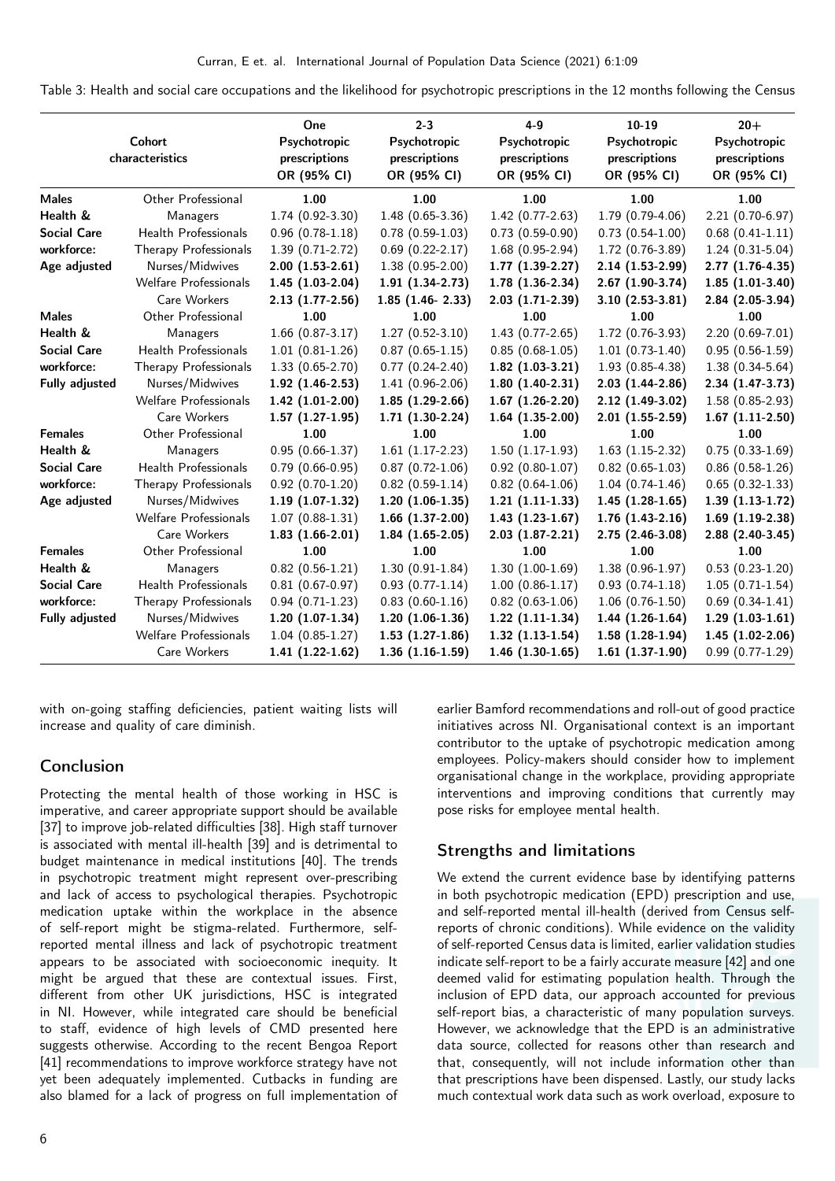<span id="page-5-0"></span>Table 3: Health and social care occupations and the likelihood for psychotropic prescriptions in the 12 months following the Census

|                       | Cohort<br>characteristics    | One<br>Psychotropic<br>prescriptions<br>OR (95% CI) | $2 - 3$<br>Psychotropic<br>prescriptions<br>OR (95% CI) | $4 - 9$<br>Psychotropic<br>prescriptions<br>OR (95% CI) | $10 - 19$<br>Psychotropic<br>prescriptions<br>OR (95% CI) | $20+$<br>Psychotropic<br>prescriptions<br>OR (95% CI) |
|-----------------------|------------------------------|-----------------------------------------------------|---------------------------------------------------------|---------------------------------------------------------|-----------------------------------------------------------|-------------------------------------------------------|
| <b>Males</b>          | Other Professional           | 1.00                                                | 1.00                                                    | 1.00                                                    | 1.00                                                      | 1.00                                                  |
| Health &              | Managers                     | $1.74(0.92-3.30)$                                   | $1.48(0.65-3.36)$                                       | $1.42(0.77-2.63)$                                       | $1.79(0.79-4.06)$                                         | $2.21(0.70-6.97)$                                     |
| <b>Social Care</b>    | Health Professionals         | $0.96(0.78-1.18)$                                   | $0.78(0.59-1.03)$                                       | $0.73(0.59-0.90)$                                       | $0.73(0.54-1.00)$                                         | $0.68(0.41-1.11)$                                     |
| workforce:            | Therapy Professionals        | $1.39(0.71-2.72)$                                   | $0.69(0.22-2.17)$                                       | $1.68(0.95-2.94)$                                       | $1.72(0.76-3.89)$                                         | $1.24(0.31-5.04)$                                     |
| Age adjusted          | Nurses/Midwives              | $2.00(1.53-2.61)$                                   | $1.38(0.95-2.00)$                                       | $1.77(1.39-2.27)$                                       | $2.14(1.53-2.99)$                                         | 2.77 (1.76-4.35)                                      |
|                       | Welfare Professionals        | $1.45(1.03-2.04)$                                   | $1.91(1.34-2.73)$                                       | $1.78(1.36-2.34)$                                       | $2.67(1.90-3.74)$                                         | $1.85(1.01-3.40)$                                     |
|                       | Care Workers                 | $2.13(1.77-2.56)$                                   | $1.85$ $(1.46 - 2.33)$                                  | $2.03(1.71-2.39)$                                       | $3.10(2.53-3.81)$                                         | $2.84(2.05-3.94)$                                     |
| <b>Males</b>          | Other Professional           | 1.00                                                | 1.00                                                    | 1.00                                                    | 1.00                                                      | 1.00                                                  |
| Health &              | Managers                     | $1.66$ $(0.87-3.17)$                                | $1.27(0.52-3.10)$                                       | $1.43(0.77-2.65)$                                       | $1.72(0.76-3.93)$                                         | $2.20(0.69-7.01)$                                     |
| <b>Social Care</b>    | Health Professionals         | $1.01(0.81-1.26)$                                   | $0.87(0.65-1.15)$                                       | $0.85(0.68-1.05)$                                       | $1.01(0.73-1.40)$                                         | $0.95(0.56-1.59)$                                     |
| workforce:            | Therapy Professionals        | $1.33(0.65-2.70)$                                   | $0.77(0.24-2.40)$                                       | $1.82(1.03-3.21)$                                       | 1.93 (0.85-4.38)                                          | $1.38(0.34-5.64)$                                     |
| Fully adjusted        | Nurses/Midwives              | $1.92(1.46-2.53)$                                   | $1.41(0.96-2.06)$                                       | $1.80(1.40-2.31)$                                       | $2.03(1.44-2.86)$                                         | 2.34 (1.47-3.73)                                      |
|                       | <b>Welfare Professionals</b> | $1.42(1.01-2.00)$                                   | $1.85(1.29-2.66)$                                       | $1.67(1.26-2.20)$                                       | $2.12(1.49-3.02)$                                         | 1.58 (0.85-2.93)                                      |
|                       | Care Workers                 | $1.57(1.27-1.95)$                                   | $1.71(1.30-2.24)$                                       | $1.64(1.35-2.00)$                                       | $2.01(1.55-2.59)$                                         | $1.67$ $(1.11-2.50)$                                  |
| <b>Females</b>        | Other Professional           | 1.00                                                | 1.00                                                    | 1.00                                                    | 1.00                                                      | 1.00                                                  |
| Health &              | Managers                     | $0.95(0.66-1.37)$                                   | $1.61(1.17-2.23)$                                       | $1.50(1.17-1.93)$                                       | $1.63(1.15-2.32)$                                         | $0.75(0.33-1.69)$                                     |
| <b>Social Care</b>    | Health Professionals         | $0.79(0.66-0.95)$                                   | $0.87(0.72-1.06)$                                       | $0.92(0.80-1.07)$                                       | $0.82$ (0.65-1.03)                                        | $0.86$ $(0.58-1.26)$                                  |
| workforce:            | Therapy Professionals        | $0.92(0.70-1.20)$                                   | $0.82(0.59-1.14)$                                       | $0.82(0.64-1.06)$                                       | $1.04(0.74-1.46)$                                         | $0.65(0.32-1.33)$                                     |
| Age adjusted          | Nurses/Midwives              | $1.19(1.07-1.32)$                                   | $1.20(1.06-1.35)$                                       | $1.21(1.11-1.33)$                                       | $1.45(1.28-1.65)$                                         | $1.39(1.13-1.72)$                                     |
|                       | <b>Welfare Professionals</b> | $1.07(0.88-1.31)$                                   | $1.66$ $(1.37-2.00)$                                    | $1.43(1.23-1.67)$                                       | $1.76(1.43-2.16)$                                         | $1.69(1.19-2.38)$                                     |
|                       | Care Workers                 | $1.83(1.66-2.01)$                                   | $1.84(1.65-2.05)$                                       | $2.03(1.87-2.21)$                                       | $2.75(2.46-3.08)$                                         | 2.88 (2.40-3.45)                                      |
| <b>Females</b>        | Other Professional           | 1.00                                                | 1.00                                                    | 1.00                                                    | 1.00                                                      | 1.00                                                  |
| Health &              | Managers                     | $0.82(0.56-1.21)$                                   | $1.30(0.91-1.84)$                                       | $1.30(1.00-1.69)$                                       | $1.38(0.96-1.97)$                                         | $0.53(0.23-1.20)$                                     |
| <b>Social Care</b>    | Health Professionals         | $0.81(0.67-0.97)$                                   | $0.93(0.77-1.14)$                                       | $1.00(0.86-1.17)$                                       | $0.93(0.74-1.18)$                                         | $1.05(0.71-1.54)$                                     |
| workforce:            | Therapy Professionals        | $0.94(0.71-1.23)$                                   | $0.83(0.60-1.16)$                                       | $0.82(0.63-1.06)$                                       | $1.06(0.76-1.50)$                                         | $0.69(0.34-1.41)$                                     |
| <b>Fully adjusted</b> | Nurses/Midwives              | $1.20(1.07-1.34)$                                   | $1.20(1.06-1.36)$                                       | $1.22$ $(1.11-1.34)$                                    | $1.44(1.26-1.64)$                                         | $1.29(1.03-1.61)$                                     |
|                       | Welfare Professionals        | $1.04(0.85-1.27)$                                   | $1.53(1.27-1.86)$                                       | $1.32(1.13-1.54)$                                       | $1.58(1.28-1.94)$                                         | $1.45(1.02-2.06)$                                     |
|                       | Care Workers                 | $1.41(1.22-1.62)$                                   | $1.36(1.16-1.59)$                                       | $1.46$ $(1.30-1.65)$                                    | $1.61(1.37-1.90)$                                         | $0.99(0.77-1.29)$                                     |

with on-going staffing deficiencies, patient waiting lists will increase and quality of care diminish.

### Conclusion

Protecting the mental health of those working in HSC is imperative, and career appropriate support should be available [\[37\]](#page-7-22) to improve job-related difficulties [\[38\]](#page-7-23). High staff turnover is associated with mental ill-health [\[39\]](#page-7-24) and is detrimental to budget maintenance in medical institutions [\[40\]](#page-8-0). The trends in psychotropic treatment might represent over-prescribing and lack of access to psychological therapies. Psychotropic medication uptake within the workplace in the absence of self-report might be stigma-related. Furthermore, selfreported mental illness and lack of psychotropic treatment appears to be associated with socioeconomic inequity. It might be argued that these are contextual issues. First, different from other UK jurisdictions, HSC is integrated in NI. However, while integrated care should be beneficial to staff, evidence of high levels of CMD presented here suggests otherwise. According to the recent Bengoa Report [\[41\]](#page-8-1) recommendations to improve workforce strategy have not yet been adequately implemented. Cutbacks in funding are also blamed for a lack of progress on full implementation of earlier Bamford recommendations and roll-out of good practice initiatives across NI. Organisational context is an important contributor to the uptake of psychotropic medication among employees. Policy-makers should consider how to implement organisational change in the workplace, providing appropriate interventions and improving conditions that currently may pose risks for employee mental health.

### Strengths and limitations

We extend the current evidence base by identifying patterns in both psychotropic medication (EPD) prescription and use, and self-reported mental ill-health (derived from Census selfreports of chronic conditions). While evidence on the validity of self-reported Census data is limited, earlier validation studies indicate self-report to be a fairly accurate measure [\[42\]](#page-8-2) and one deemed valid for estimating population health. Through the inclusion of EPD data, our approach accounted for previous self-report bias, a characteristic of many population surveys. However, we acknowledge that the EPD is an administrative data source, collected for reasons other than research and that, consequently, will not include information other than that prescriptions have been dispensed. Lastly, our study lacks much contextual work data such as work overload, exposure to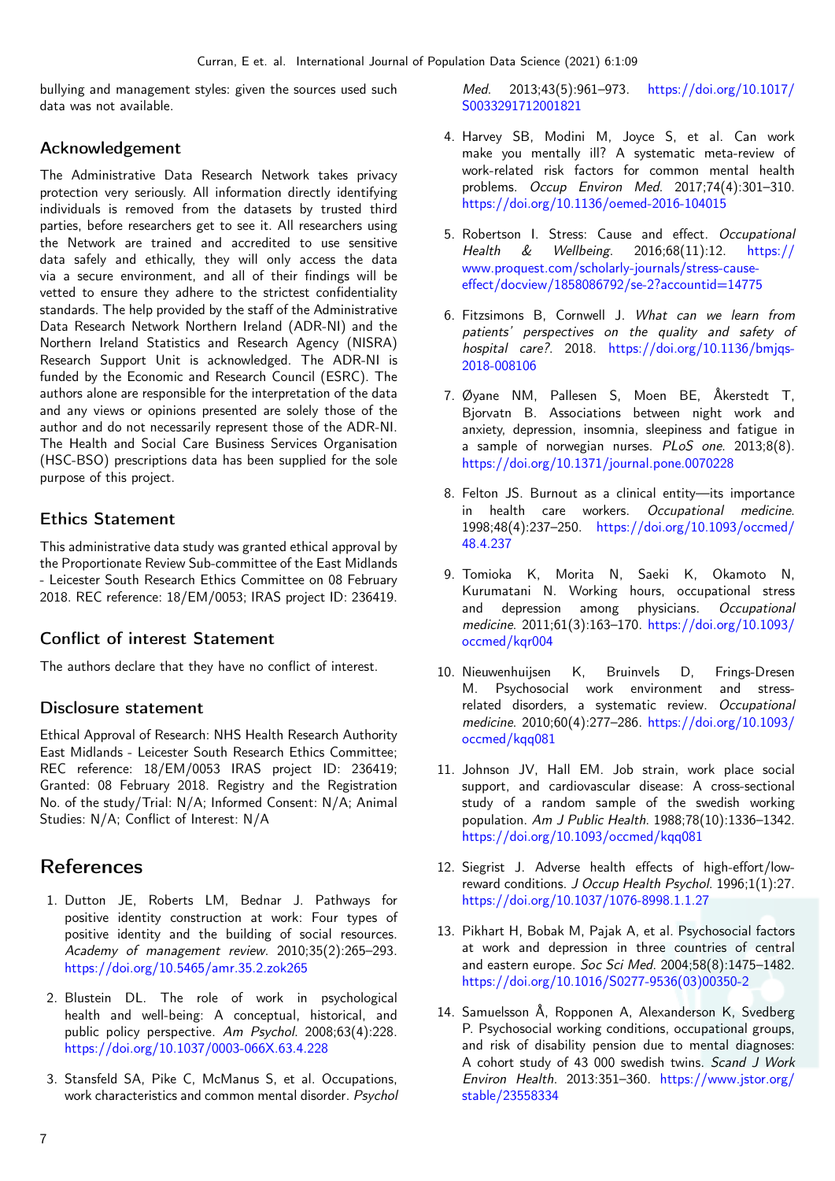bullying and management styles: given the sources used such data was not available.

### Acknowledgement

The Administrative Data Research Network takes privacy protection very seriously. All information directly identifying individuals is removed from the datasets by trusted third parties, before researchers get to see it. All researchers using the Network are trained and accredited to use sensitive data safely and ethically, they will only access the data via a secure environment, and all of their findings will be vetted to ensure they adhere to the strictest confidentiality standards. The help provided by the staff of the Administrative Data Research Network Northern Ireland (ADR-NI) and the Northern Ireland Statistics and Research Agency (NISRA) Research Support Unit is acknowledged. The ADR-NI is funded by the Economic and Research Council (ESRC). The authors alone are responsible for the interpretation of the data and any views or opinions presented are solely those of the author and do not necessarily represent those of the ADR-NI. The Health and Social Care Business Services Organisation (HSC-BSO) prescriptions data has been supplied for the sole purpose of this project.

### Ethics Statement

This administrative data study was granted ethical approval by the Proportionate Review Sub-committee of the East Midlands - Leicester South Research Ethics Committee on 08 February 2018. REC reference: 18/EM/0053; IRAS project ID: 236419.

### Conflict of interest Statement

The authors declare that they have no conflict of interest.

#### Disclosure statement

Ethical Approval of Research: NHS Health Research Authority East Midlands - Leicester South Research Ethics Committee; REC reference: 18/EM/0053 IRAS project ID: 236419; Granted: 08 February 2018. Registry and the Registration No. of the study/Trial: N/A; Informed Consent: N/A; Animal Studies: N/A; Conflict of Interest: N/A

# References

- <span id="page-6-0"></span>1. Dutton JE, Roberts LM, Bednar J. Pathways for positive identity construction at work: Four types of positive identity and the building of social resources. Academy of management review. 2010;35(2):265–293. <https://doi.org/10.5465/amr.35.2.zok265>
- 2. Blustein DL. The role of work in psychological health and well-being: A conceptual, historical, and public policy perspective. Am Psychol. 2008;63(4):228. <https://doi.org/10.1037/0003-066X.63.4.228>
- <span id="page-6-1"></span>3. Stansfeld SA, Pike C, McManus S, et al. Occupations, work characteristics and common mental disorder. Psychol

Med. 2013;43(5):961–973. [https://doi.org/10.1017/](https://doi.org/10.1017/S0033291712001821) [S0033291712001821](https://doi.org/10.1017/S0033291712001821)

- <span id="page-6-2"></span>4. Harvey SB, Modini M, Joyce S, et al. Can work make you mentally ill? A systematic meta-review of work-related risk factors for common mental health problems. Occup Environ Med. 2017;74(4):301–310. <https://doi.org/10.1136/oemed-2016-104015>
- <span id="page-6-3"></span>5. Robertson I. Stress: Cause and effect. Occupational<br>Health & Wellbeing. 2016;68(11):12. https:// Health & Wellbeing. 2016;68(11):12. [https://](https://www.proquest.com/scholarly-journals/stress-cause-effect/docview/1858086792/se-2?accountid=14775) [www.proquest.com/scholarly-journals/stress-cause](https://www.proquest.com/scholarly-journals/stress-cause-effect/docview/1858086792/se-2?accountid=14775)[effect/docview/1858086792/se-2?accountid=14775](https://www.proquest.com/scholarly-journals/stress-cause-effect/docview/1858086792/se-2?accountid=14775)
- <span id="page-6-4"></span>6. Fitzsimons B, Cornwell J. What can we learn from patients' perspectives on the quality and safety of hospital care?. 2018. [https://doi.org/10.1136/bmjqs-](https://doi.org/10.1136/bmjqs-2018-008106)[2018-008106](https://doi.org/10.1136/bmjqs-2018-008106)
- <span id="page-6-5"></span>7. Øyane NM, Pallesen S, Moen BE, Åkerstedt T, Bjorvatn B. Associations between night work and anxiety, depression, insomnia, sleepiness and fatigue in a sample of norwegian nurses. PLoS one. 2013;8(8). <https://doi.org/10.1371/journal.pone.0070228>
- <span id="page-6-6"></span>8. Felton JS. Burnout as a clinical entity—its importance in health care workers. Occupational medicine. 1998;48(4):237–250. [https://doi.org/10.1093/occmed/](https://doi.org/10.1093/occmed/48.4.237) [48.4.237](https://doi.org/10.1093/occmed/48.4.237)
- <span id="page-6-7"></span>9. Tomioka K, Morita N, Saeki K, Okamoto N, Kurumatani N. Working hours, occupational stress and depression among physicians. Occupational medicine. 2011;61(3):163–170. [https://doi.org/10.1093/](https://doi.org/10.1093/occmed/kqr004) [occmed/kqr004](https://doi.org/10.1093/occmed/kqr004)
- <span id="page-6-8"></span>10. Nieuwenhuijsen K, Bruinvels D, Frings-Dresen M. Psychosocial work environment and stressrelated disorders, a systematic review. Occupational medicine. 2010;60(4):277–286. [https://doi.org/10.1093/](https://doi.org/10.1093/occmed/kqq081) [occmed/kqq081](https://doi.org/10.1093/occmed/kqq081)
- <span id="page-6-9"></span>11. Johnson JV, Hall EM. Job strain, work place social support, and cardiovascular disease: A cross-sectional study of a random sample of the swedish working population. Am J Public Health. 1988;78(10):1336–1342. <https://doi.org/10.1093/occmed/kqq081>
- <span id="page-6-10"></span>12. Siegrist J. Adverse health effects of high-effort/lowreward conditions. J Occup Health Psychol. 1996;1(1):27. <https://doi.org/10.1037/1076-8998.1.1.27>
- <span id="page-6-11"></span>13. Pikhart H, Bobak M, Pajak A, et al. Psychosocial factors at work and depression in three countries of central and eastern europe. Soc Sci Med. 2004;58(8):1475–1482. [https://doi.org/10.1016/S0277-9536\(03\)00350-2](https://doi.org/10.1016/S0277-9536(03)00350-2)
- <span id="page-6-12"></span>14. Samuelsson Å, Ropponen A, Alexanderson K, Svedberg P. Psychosocial working conditions, occupational groups, and risk of disability pension due to mental diagnoses: A cohort study of 43 000 swedish twins. Scand J Work Environ Health. 2013:351–360. [https://www.jstor.org/](https://www.jstor.org/stable/23558334) [stable/23558334](https://www.jstor.org/stable/23558334)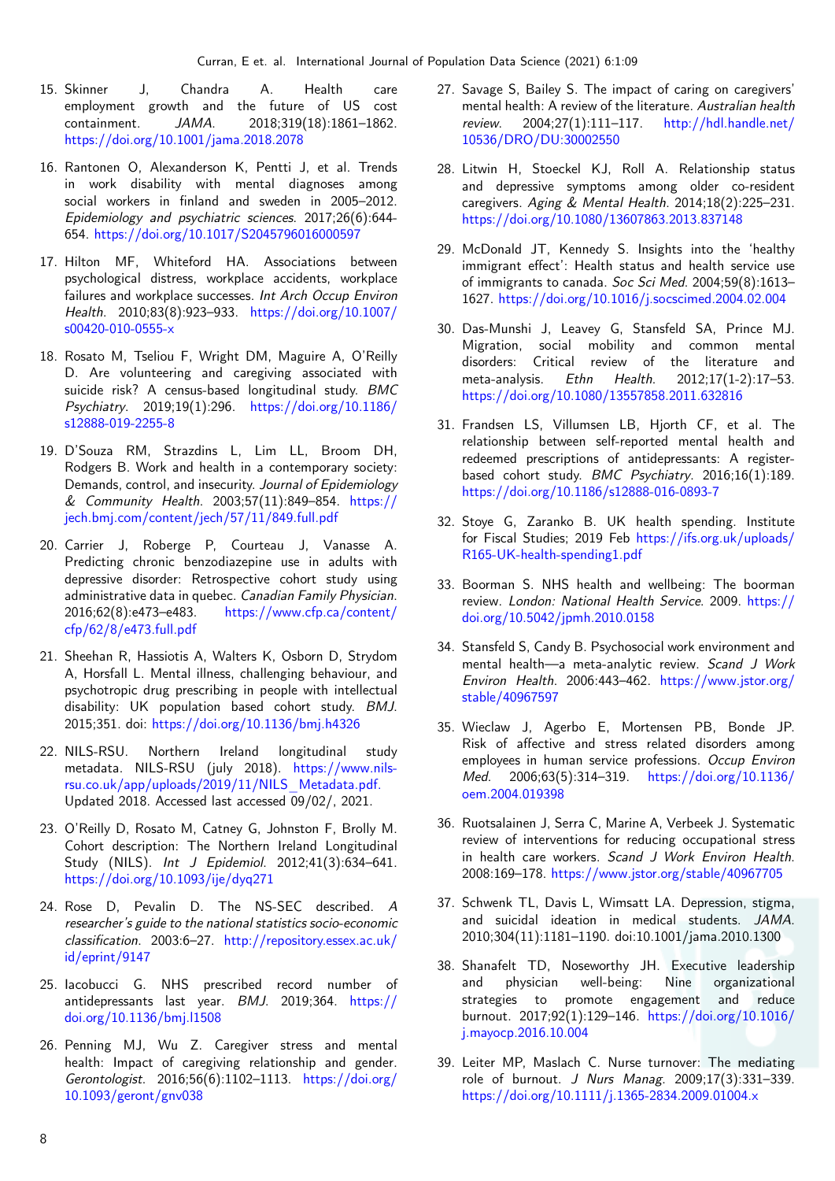- <span id="page-7-0"></span>15. Skinner J, Chandra A. Health care employment growth and the future of US cost containment. JAMA. 2018;319(18):1861–1862. <https://doi.org/10.1001/jama.2018.2078>
- <span id="page-7-1"></span>16. Rantonen O, Alexanderson K, Pentti J, et al. Trends in work disability with mental diagnoses among social workers in finland and sweden in 2005–2012. Epidemiology and psychiatric sciences. 2017;26(6):644- 654. <https://doi.org/10.1017/S2045796016000597>
- <span id="page-7-2"></span>17. Hilton MF, Whiteford HA. Associations between psychological distress, workplace accidents, workplace failures and workplace successes. Int Arch Occup Environ Health. 2010;83(8):923–933. [https://doi.org/10.1007/](https://doi.org/10.1007/s00420-010-0555-x) [s00420-010-0555-x](https://doi.org/10.1007/s00420-010-0555-x)
- <span id="page-7-3"></span>18. Rosato M, Tseliou F, Wright DM, Maguire A, O'Reilly D. Are volunteering and caregiving associated with suicide risk? A census-based longitudinal study. BMC Psychiatry. 2019;19(1):296. [https://doi.org/10.1186/](https://doi.org/10.1186/s12888-019-2255-8) [s12888-019-2255-8](https://doi.org/10.1186/s12888-019-2255-8)
- <span id="page-7-4"></span>19. D'Souza RM, Strazdins L, Lim LL, Broom DH, Rodgers B. Work and health in a contemporary society: Demands, control, and insecurity. Journal of Epidemiology & Community Health. 2003;57(11):849–854. [https://](https://jech.bmj.com/content/jech/57/11/849.full.pdf) [jech.bmj.com/content/jech/57/11/849.full.pdf](https://jech.bmj.com/content/jech/57/11/849.full.pdf)
- <span id="page-7-5"></span>20. Carrier J, Roberge P, Courteau J, Vanasse A. Predicting chronic benzodiazepine use in adults with depressive disorder: Retrospective cohort study using administrative data in quebec. Canadian Family Physician. 2016;62(8):e473–e483. [https://www.cfp.ca/content/](https://www.cfp.ca/content/cfp/62/8/e473.full.pdf) [cfp/62/8/e473.full.pdf](https://www.cfp.ca/content/cfp/62/8/e473.full.pdf)
- <span id="page-7-6"></span>21. Sheehan R, Hassiotis A, Walters K, Osborn D, Strydom A, Horsfall L. Mental illness, challenging behaviour, and psychotropic drug prescribing in people with intellectual disability: UK population based cohort study. BMJ. 2015;351. doi: <https://doi.org/10.1136/bmj.h4326>
- <span id="page-7-7"></span>22. NILS-RSU. Northern Ireland longitudinal study metadata. NILS-RSU (july 2018). [https://www.nils](https://www.nils-rsu.co.uk/app/uploads/2019/11/NILS_Metadata.pdf)[rsu.co.uk/app/uploads/2019/11/NILS\\_Metadata.pdf.](https://www.nils-rsu.co.uk/app/uploads/2019/11/NILS_Metadata.pdf) Updated 2018. Accessed last accessed 09/02/, 2021.
- <span id="page-7-8"></span>23. O'Reilly D, Rosato M, Catney G, Johnston F, Brolly M. Cohort description: The Northern Ireland Longitudinal Study (NILS). Int J Epidemiol. 2012;41(3):634–641. <https://doi.org/10.1093/ije/dyq271>
- <span id="page-7-9"></span>24. Rose D, Pevalin D. The NS-SEC described. A researcher's guide to the national statistics socio-economic classification. 2003:6–27. [http://repository.essex.ac.uk/](http://repository.essex.ac.uk/id/eprint/9147) [id/eprint/9147](http://repository.essex.ac.uk/id/eprint/9147)
- <span id="page-7-10"></span>25. Iacobucci G. NHS prescribed record number of antidepressants last year. BMJ. 2019;364. [https://](https://doi.org/10.1136/bmj.l1508) [doi.org/10.1136/bmj.l1508](https://doi.org/10.1136/bmj.l1508)
- <span id="page-7-11"></span>26. Penning MJ, Wu Z. Caregiver stress and mental health: Impact of caregiving relationship and gender. Gerontologist. 2016;56(6):1102–1113. [https://doi.org/](https://doi.org/10.1093/geront/gnv038) [10.1093/geront/gnv038](https://doi.org/10.1093/geront/gnv038)
- <span id="page-7-12"></span>27. Savage S, Bailey S. The impact of caring on caregivers' mental health: A review of the literature. Australian health review. 2004;27(1):111–117. [http://hdl.handle.net/](http://hdl.handle.net/10536/DRO/DU:30002550) [10536/DRO/DU:30002550](http://hdl.handle.net/10536/DRO/DU:30002550)
- <span id="page-7-13"></span>28. Litwin H, Stoeckel KJ, Roll A. Relationship status and depressive symptoms among older co-resident caregivers. Aging & Mental Health. 2014;18(2):225–231. <https://doi.org/10.1080/13607863.2013.837148>
- <span id="page-7-14"></span>29. McDonald JT, Kennedy S. Insights into the 'healthy immigrant effect': Health status and health service use of immigrants to canada. Soc Sci Med. 2004;59(8):1613– 1627. <https://doi.org/10.1016/j.socscimed.2004.02.004>
- <span id="page-7-15"></span>30. Das-Munshi J, Leavey G, Stansfeld SA, Prince MJ. Migration, social mobility and common mental disorders: Critical review of the literature and meta-analysis. Ethn Health. 2012;17(1-2):17–53. <https://doi.org/10.1080/13557858.2011.632816>
- <span id="page-7-16"></span>31. Frandsen LS, Villumsen LB, Hjorth CF, et al. The relationship between self-reported mental health and redeemed prescriptions of antidepressants: A registerbased cohort study. BMC Psychiatry. 2016;16(1):189. <https://doi.org/10.1186/s12888-016-0893-7>
- <span id="page-7-17"></span>32. Stoye G, Zaranko B. UK health spending. Institute for Fiscal Studies; 2019 Feb [https://ifs.org.uk/uploads/](https://ifs.org.uk/uploads/R165-UK-health-spending1.pdf) [R165-UK-health-spending1.pdf](https://ifs.org.uk/uploads/R165-UK-health-spending1.pdf)
- <span id="page-7-18"></span>33. Boorman S. NHS health and wellbeing: The boorman review. London: National Health Service. 2009. [https://](https://doi.org/10.5042/jpmh.2010.0158) [doi.org/10.5042/jpmh.2010.0158](https://doi.org/10.5042/jpmh.2010.0158)
- <span id="page-7-19"></span>34. Stansfeld S, Candy B. Psychosocial work environment and mental health—a meta-analytic review. Scand J Work Environ Health. 2006:443–462. [https://www.jstor.org/](https://www.jstor.org/stable/40967597) [stable/40967597](https://www.jstor.org/stable/40967597)
- <span id="page-7-20"></span>35. Wieclaw J, Agerbo E, Mortensen PB, Bonde JP. Risk of affective and stress related disorders among employees in human service professions. Occup Environ Med. 2006;63(5):314–319. [https://doi.org/10.1136/](https://doi.org/10.1136/oem.2004.019398) [oem.2004.019398](https://doi.org/10.1136/oem.2004.019398)
- <span id="page-7-21"></span>36. Ruotsalainen J, Serra C, Marine A, Verbeek J. Systematic review of interventions for reducing occupational stress in health care workers. Scand J Work Environ Health. 2008:169–178. <https://www.jstor.org/stable/40967705>
- <span id="page-7-22"></span>37. Schwenk TL, Davis L, Wimsatt LA. Depression, stigma, and suicidal ideation in medical students. JAMA. 2010;304(11):1181–1190. doi:10.1001/jama.2010.1300
- <span id="page-7-23"></span>38. Shanafelt TD, Noseworthy JH. Executive leadership and physician well-being: Nine organizational strategies to promote engagement and reduce burnout. 2017;92(1):129–146. [https://doi.org/10.1016/](https://doi.org/10.1016/j.mayocp.2016.10.004) [j.mayocp.2016.10.004](https://doi.org/10.1016/j.mayocp.2016.10.004)
- <span id="page-7-24"></span>39. Leiter MP, Maslach C. Nurse turnover: The mediating role of burnout. J Nurs Manag. 2009;17(3):331–339. <https://doi.org/10.1111/j.1365-2834.2009.01004.x>